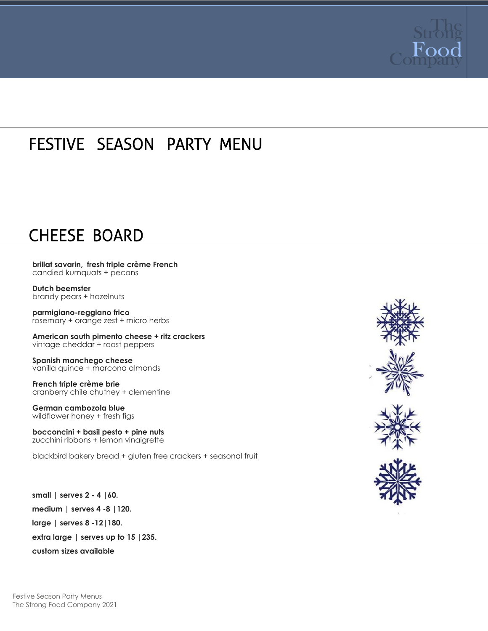

### FESTIVE SEASON PARTY MENU

### CHEESE BOARD

 $\overline{a}$ 

**brillat savarin, fresh triple crème French**  candied kumquats + pecans

**Dutch beemster** brandy pears + hazelnuts

**parmigiano-reggiano frico** rosemary + orange zest + micro herbs

**American south pimento cheese + ritz crackers** vintage cheddar + roast peppers

**Spanish manchego cheese** vanilla quince + marcona almonds

**French triple crème brie** cranberry chile chutney + clementine

**German cambozola blue** wildflower honey + fresh figs

**bocconcini + basil pesto + pine nuts** zucchini ribbons + lemon vinaigrette

blackbird bakery bread + gluten free crackers + seasonal fruit

**small | serves 2 - 4 |60. medium | serves 4 -8 |120. large | serves 8 -12|180. extra large | serves up to 15 |235. custom sizes available**





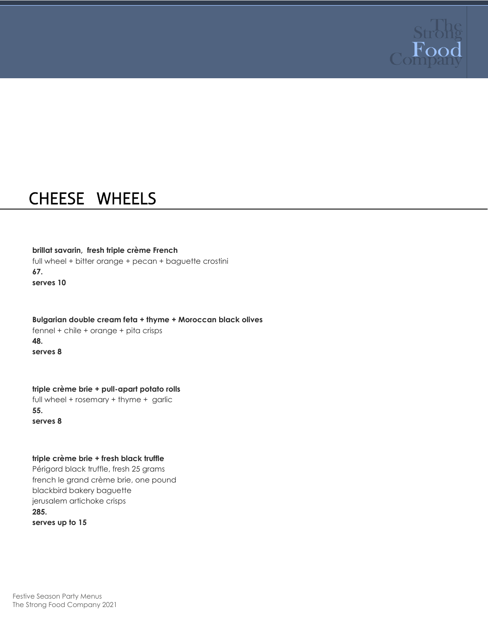

### CHEESE WHEELS

#### **brillat savarin, fresh triple crème French**

full wheel + bitter orange + pecan + baguette crostini **67. serves 10**

**Bulgarian double cream feta + thyme + Moroccan black olives**  fennel + chile + orange + pita crisps **48. serves 8**

**triple crème brie + pull-apart potato rolls** full wheel + rosemary + thyme + garlic **55. serves 8**

#### **triple crème brie + fresh black truffle**

Périgord black truffle, fresh 25 grams french le grand crème brie, one pound blackbird bakery baguette jerusalem artichoke crisps **285. serves up to 15**

Festive Season Party Menus The Strong Food Company 2021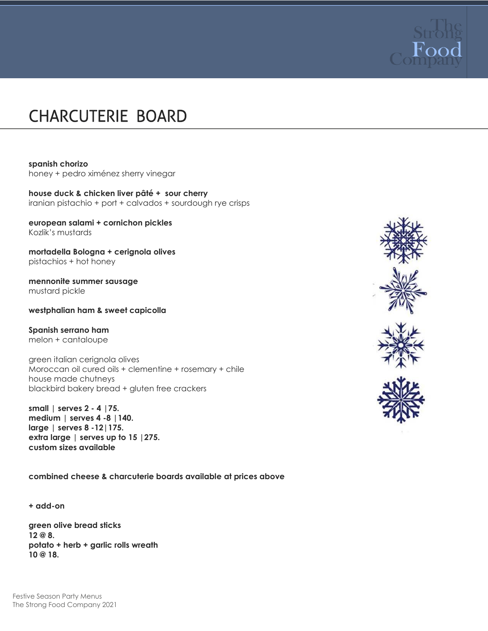

## CHARCUTERIE BOARD

#### **spanish chorizo**

honey + pedro ximénez sherry vinegar

**house duck & chicken liver pâté + sour cherry** iranian pistachio + port + calvados + sourdough rye crisps

**european salami + cornichon pickles** Kozlik's mustards

**mortadella Bologna + cerignola olives** pistachios + hot honey

**mennonite summer sausage** mustard pickle

**westphalian ham & sweet capicolla**

#### **Spanish serrano ham**

melon + cantaloupe

green italian cerignola olives Moroccan oil cured oils + clementine + rosemary + chile house made chutneys blackbird bakery bread + gluten free crackers

**small | serves 2 - 4 |75. medium | serves 4 -8 |140. large | serves 8 -12|175. extra large | serves up to 15 |275. custom sizes available**

**combined cheese & charcuterie boards available at prices above**

**+ add-on**

**green olive bread sticks 12 @ 8. potato + herb + garlic rolls wreath 10 @ 18.**





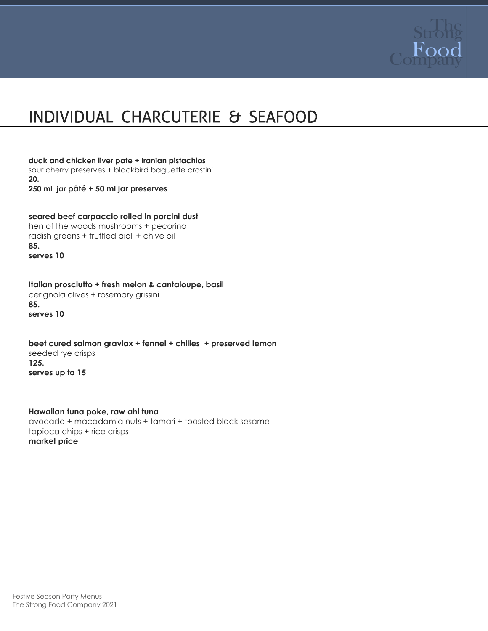

## INDIVIDUAL CHARCUTERIE & SEAFOOD

**duck and chicken liver pate + Iranian pistachios**  sour cherry preserves + blackbird baguette crostini **20. 250 ml jar pâté + 50 ml jar preserves**

**seared beef carpaccio rolled in porcini dust** hen of the woods mushrooms + pecorino radish greens + truffled aioli + chive oil **85. serves 10**

**Italian prosciutto + fresh melon & cantaloupe, basil** cerignola olives + rosemary grissini **85. serves 10**

**beet cured salmon gravlax + fennel + chilies + preserved lemon** seeded rye crisps **125. serves up to 15**

**Hawaiian tuna poke, raw ahi tuna**  avocado + macadamia nuts + tamari + toasted black sesame tapioca chips + rice crisps **market price**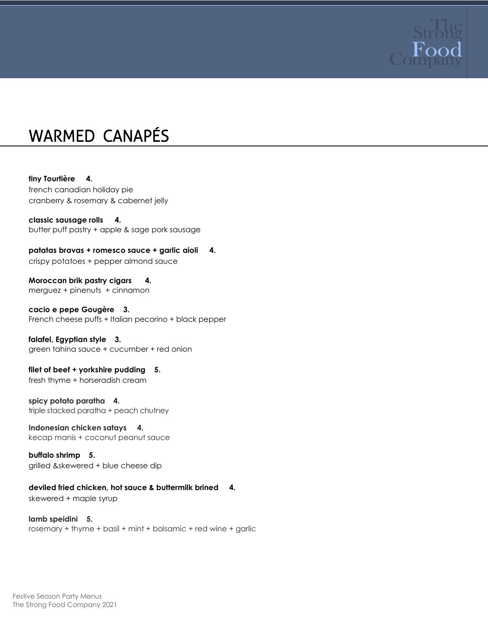

### WARMED CANAPÉS

**tiny Tourtière 4.**  french canadian holiday pie cranberry & rosemary & cabernet jelly

**classic sausage rolls 4.**  butter puff pastry + apple & sage pork sausage

**patatas bravas + romesco sauce + garlic aioli 4.** crispy potatoes + pepper almond sauce

**Moroccan brik pastry cigars 4.** merguez + pinenuts + cinnamon

**cacio e pepe Gougère 3.** French cheese puffs + Italian pecorino + black pepper

**falafel, Egyptian style 3.** green tahina sauce + cucumber + red onion

**filet of beef + yorkshire pudding 5.** fresh thyme + horseradish cream

**spicy potato paratha 4.**  triple stacked paratha + peach chutney

**Indonesian chicken satays 4.**  kecap manis + coconut peanut sauce

**buffalo shrimp 5.** grilled &skewered + blue cheese dip

**deviled fried chicken, hot sauce & buttermilk brined 4.** 

skewered + maple syrup

**lamb speidini 5.** rosemary + thyme + basil + mint + balsamic + red wine + garlic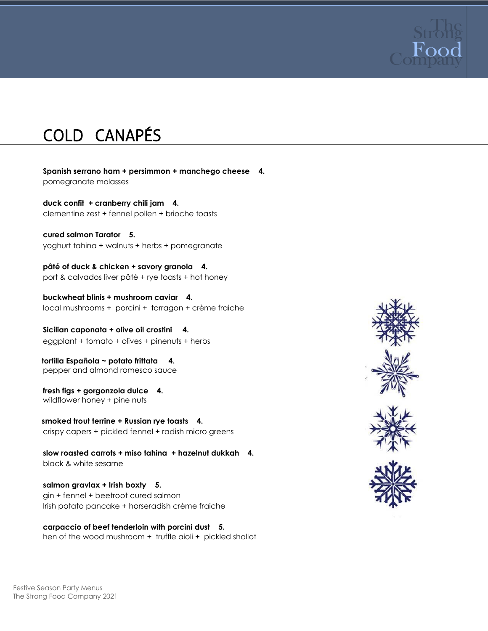

# COLD CANAPÉS

**Spanish serrano ham + persimmon + manchego cheese 4.**  pomegranate molasses

**duck confit + cranberry chili jam 4.** clementine zest + fennel pollen + brioche toasts

**cured salmon Tarator 5.** yoghurt tahina + walnuts + herbs + pomegranate

**pâté of duck & chicken + savory granola 4.** port & calvados liver pâté + rye toasts + hot honey

**buckwheat blinis + mushroom caviar 4.**  local mushrooms + porcini + tarragon + crème fraiche

**Sicilian caponata + olive oil crostini 4.**  eggplant + tomato + olives + pinenuts + herbs

 **tortilla Española ~ potato frittata 4.**  pepper and almond romesco sauce

**fresh figs + gorgonzola dulce 4.**  wildflower honey + pine nuts

 **smoked trout terrine + Russian rye toasts 4.**  crispy capers + pickled fennel + radish micro greens

**slow roasted carrots + miso tahina + hazelnut dukkah 4.** black & white sesame

**salmon gravlax + Irish boxty 5.** gin + fennel + beetroot cured salmon Irish potato pancake + horseradish crème fraiche

**carpaccio of beef tenderloin with porcini dust 5.**  hen of the wood mushroom + truffle aioli + pickled shallot



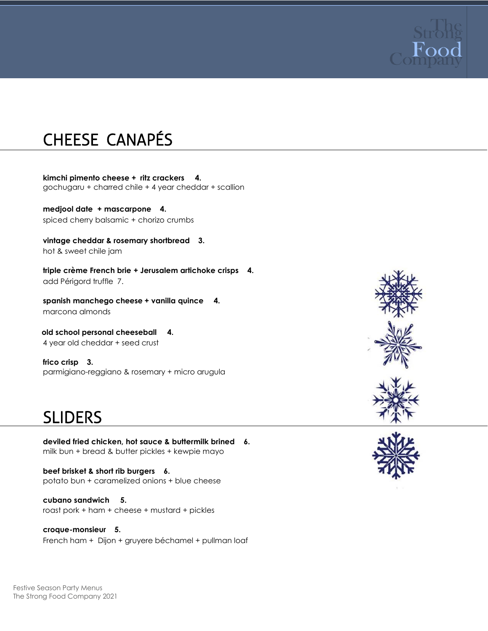

## CHEESE CANAPÉS

**kimchi pimento cheese + ritz crackers 4.**  gochugaru + charred chile + 4 year cheddar + scallion

**medjool date + mascarpone 4.** spiced cherry balsamic + chorizo crumbs

**vintage cheddar & rosemary shortbread 3.** hot & sweet chile jam

**triple crème French brie + Jerusalem artichoke crisps 4.** add Périgord truffle 7.

**spanish manchego cheese + vanilla quince 4.** marcona almonds

 **old school personal cheeseball 4.** 4 year old cheddar + seed crust

**frico crisp 3.** parmigiano-reggiano & rosemary + micro arugula

### SLIDERS

**deviled fried chicken, hot sauce & buttermilk brined 6.**  milk bun + bread & butter pickles + kewpie mayo

**beef brisket & short rib burgers 6.** potato bun + caramelized onions + blue cheese

**cubano sandwich 5.** roast pork + ham + cheese + mustard + pickles

**croque-monsieur 5.**  French ham + Dijon + gruyere béchamel + pullman loaf





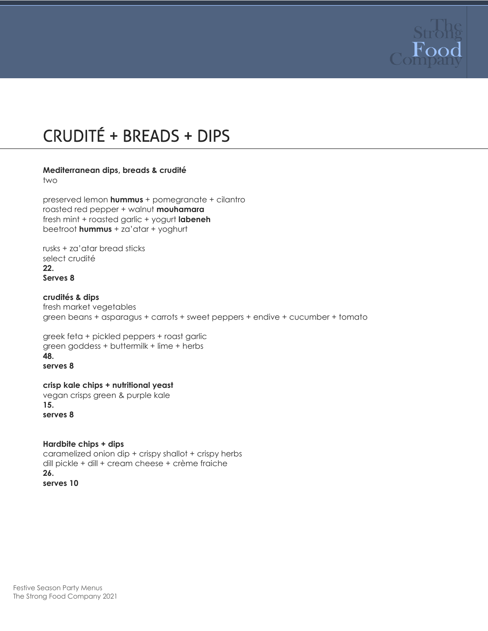

# CRUDITÉ + BREADS + DIPS

#### **Mediterranean dips, breads & crudité**

two

preserved lemon **hummus** + pomegranate + cilantro roasted red pepper + walnut **mouhamara** fresh mint + roasted garlic + yogurt **labeneh** beetroot **hummus** + za'atar + yoghurt

rusks + za'atar bread sticks select crudité **22. Serves 8**

**crudités & dips** fresh market vegetables green beans + asparagus + carrots + sweet peppers + endive + cucumber + tomato

greek feta + pickled peppers + roast garlic green goddess + buttermilk + lime + herbs **48. serves 8**

**crisp kale chips + nutritional yeast** vegan crisps green & purple kale **15. serves 8**

**Hardbite chips + dips**  caramelized onion dip + crispy shallot + crispy herbs dill pickle + dill + cream cheese + crème fraiche **26. serves 10**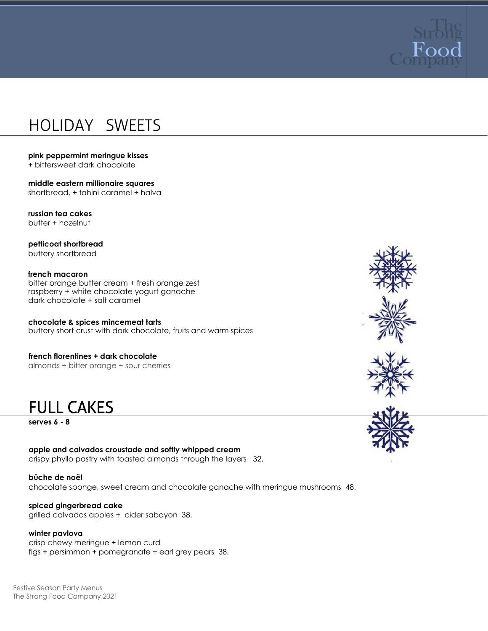

### HOLIDAY SWEETS

#### **pink peppermint meringue kisses**

+ bittersweet dark chocolate

**middle eastern millionaire squares** shortbread, + tahini caramel + halva

**russian tea cakes** butter + hazelnut

**petticoat shortbread** buttery shortbread

**french macaron**  bitter orange butter cream + fresh orange zest raspberry + white chocolate yogurt ganache dark chocolate + salt caramel

**chocolate & spices mincemeat tarts** buttery short crust with dark chocolate, fruits and warm spices

**french florentines + dark chocolate** almonds + bitter orange + sour cherries

FULL CAKES

**serves 6 - 8**

**apple and calvados croustade and softly whipped cream** crispy phyllo pastry with toasted almonds through the layers 32.

**bûche de noël** chocolate sponge, sweet cream and chocolate ganache with meringue mushrooms 48.

**spiced gingerbread cake** grilled calvados apples + cider sabayon 38.

#### **winter pavlova**

crisp chewy meringue + lemon curd figs + persimmon + pomegranate + earl grey pears 38.

Festive Season Party Menus The Strong Food Company 2021





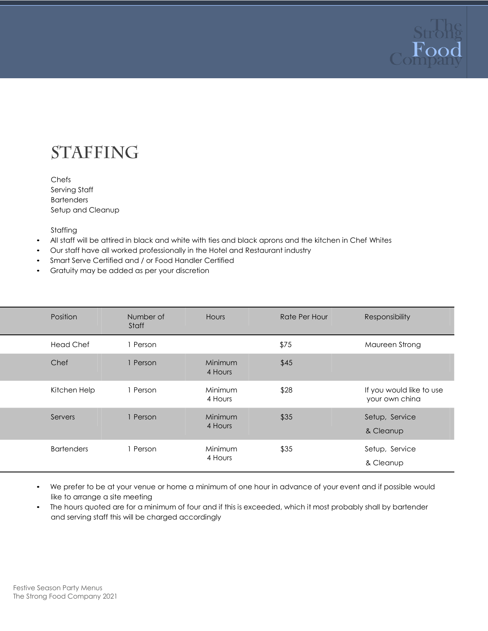

## **STAFFING**

Chefs Serving Staff **Bartenders** Setup and Cleanup

Staffing

- All staff will be attired in black and white with ties and black aprons and the kitchen in Chef Whites
- Our staff have all worked professionally in the Hotel and Restaurant industry
- Smart Serve Certified and / or Food Handler Certified
- Gratuity may be added as per your discretion

| Position          | Number of<br>Staff | Hours              | <b>Rate Per Hour</b> | Responsibility                             |
|-------------------|--------------------|--------------------|----------------------|--------------------------------------------|
| <b>Head Chef</b>  | 1 Person           |                    | \$75                 | Maureen Strong                             |
| Chef              | 1 Person           | Minimum<br>4 Hours | \$45                 |                                            |
| Kitchen Help      | 1 Person           | Minimum<br>4 Hours | \$28                 | If you would like to use<br>your own china |
| Servers           | 1 Person           | Minimum<br>4 Hours | \$35                 | Setup, Service<br>& Cleanup                |
| <b>Bartenders</b> | 1 Person           | Minimum<br>4 Hours | \$35                 | Setup, Service<br>& Cleanup                |

• We prefer to be at your venue or home a minimum of one hour in advance of your event and if possible would like to arrange a site meeting

• The hours quoted are for a minimum of four and if this is exceeded, which it most probably shall by bartender and serving staff this will be charged accordingly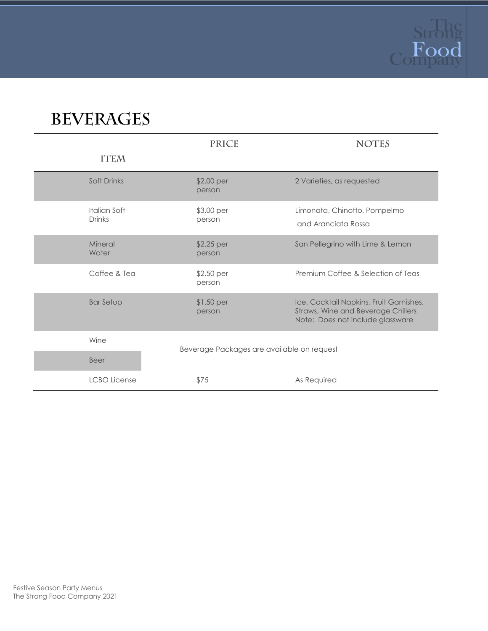

# **BEVERAGES**

|                               | <b>PRICE</b>                               | <b>NOTES</b>                                                                                                      |
|-------------------------------|--------------------------------------------|-------------------------------------------------------------------------------------------------------------------|
| <b>ITEM</b>                   |                                            |                                                                                                                   |
| Soft Drinks                   | \$2.00 per<br>person                       | 2 Varieties, as requested                                                                                         |
| Italian Soft<br><b>Drinks</b> | \$3.00 per<br>person                       | Limonata, Chinotto, Pompelmo<br>and Aranciata Rossa                                                               |
| Mineral<br>Water              | \$2.25 per<br>person                       | San Pellegrino with Lime & Lemon                                                                                  |
| Coffee & Tea                  | \$2.50 per<br>person                       | Premium Coffee & Selection of Teas                                                                                |
| <b>Bar Setup</b>              | $$1.50$ per<br>person                      | Ice, Cocktail Napkins, Fruit Garnishes,<br>Straws, Wine and Beverage Chillers<br>Note: Does not include glassware |
| Wine                          | Beverage Packages are available on request |                                                                                                                   |
| <b>Beer</b>                   |                                            |                                                                                                                   |
| <b>LCBO</b> License           | \$75                                       | As Required                                                                                                       |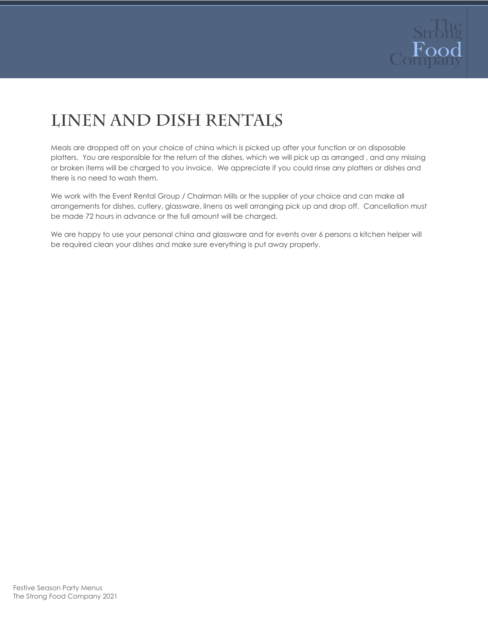

# LINEN AND DISH RENTALS

Meals are dropped off on your choice of china which is picked up after your function or on disposable platters. You are responsible for the return of the dishes, which we will pick up as arranged , and any missing or broken items will be charged to you invoice. We appreciate if you could rinse any platters or dishes and there is no need to wash them.

We work with the Event Rental Group / Chairman Mills or the supplier of your choice and can make all arrangements for dishes, cutlery, glassware, linens as well arranging pick up and drop off. Cancellation must be made 72 hours in advance or the full amount will be charged.

We are happy to use your personal china and glassware and for events over 6 persons a kitchen helper will be required clean your dishes and make sure everything is put away properly.